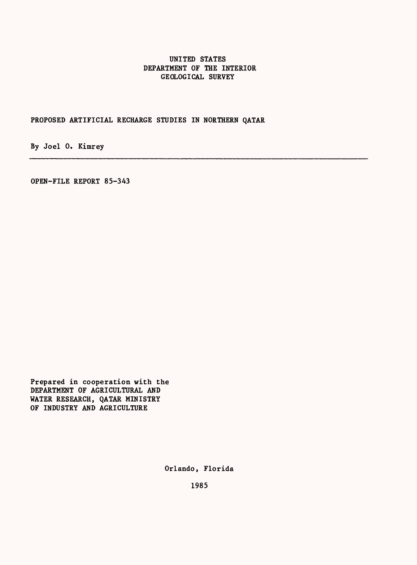# UNITED STATES DEPARTMENT OF THE INTERIOR GEOLOGICAL SURVEY

PROPOSED ARTIFICIAL RECHARGE STUDIES IN NORTHERN QATAR

By Joel 0. Kimrey

OPEN-FILE REPORT 85-343

Prepared in cooperation with the DEPARTMENT OF AGRICULTURAL AND WATER RESEARCH, QATAR MINISTRY OF INDUSTRY AND AGRICULTURE

Orlando, Florida

1985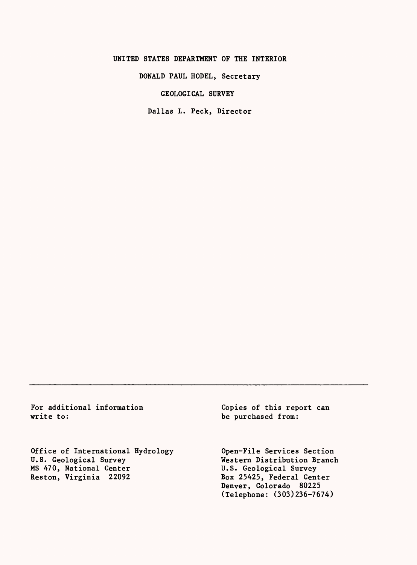### UNITED STATES DEPARTMENT OF THE INTERIOR

DONALD PAUL HODEL, Secretary

GEOLOGICAL SURVEY

Dallas L. Peck, Director

For additional information write to:

Office of International Hydrology U.S. Geological Survey MS 470, National Center Reston, Virginia 22092

Copies of this report can be purchased from:

Open-File Services Section Western Distribution Branch U.S. Geological Survey Box 25425, Federal Center Denver, Colorado 80225 (Telephone: (303)236-7674)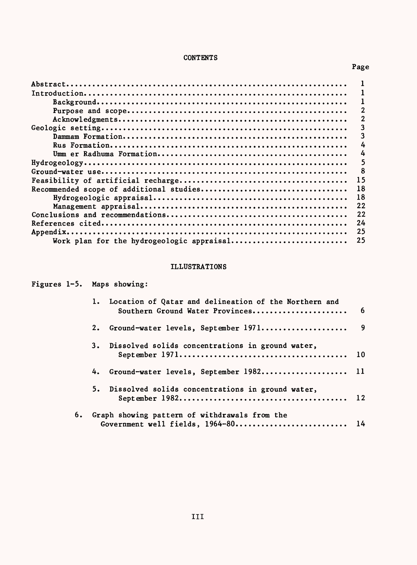# CONTENTS

Page

|                                           | 15 |
|-------------------------------------------|----|
|                                           | 18 |
|                                           | 18 |
|                                           | 22 |
|                                           | 22 |
|                                           | 24 |
|                                           | 25 |
| Work plan for the hydrogeologic appraisal | 25 |
|                                           |    |

# ILLUSTRATIONS

|    | Figures 1-5. Maps showing:                                                                  |   |  |  |
|----|---------------------------------------------------------------------------------------------|---|--|--|
|    | 1. Location of Qatar and delineation of the Northern and<br>Southern Ground Water Provinces | 6 |  |  |
|    |                                                                                             |   |  |  |
|    | 3. Dissolved solids concentrations in ground water,                                         |   |  |  |
|    | 4. Ground-water levels, September 1982 11                                                   |   |  |  |
|    | 5. Dissolved solids concentrations in ground water,                                         |   |  |  |
| 6. | Graph showing pattern of withdrawals from the<br>Government well fields, 1964-80 14         |   |  |  |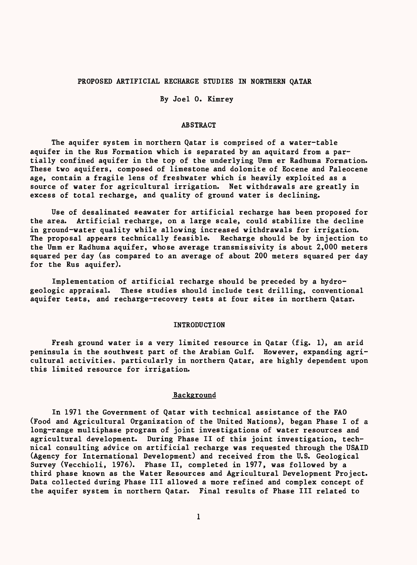#### PROPOSED ARTIFICIAL RECHARGE STUDIES IN NORTHERN QATAR

By Joel 0. Kimrey

# ABSTRACT

The aquifer system in northern Qatar is comprised of a water-table aquifer in the Rus Formation which is separated by an aquitard from a partially confined aquifer in the top of the underlying Umm er Radhuma Formation. These two aquifers, composed of limestone and dolomite of Eocene and Paleocene age, contain a fragile lens of freshwater which is heavily exploited as a source of water for agricultural irrigation. Net withdrawals are greatly in excess of total recharge, and quality of ground water is declining.

Use of desalinated seawater for artificial recharge has been proposed for the area. Artificial recharge, on a large scale, could stabilize the decline in ground-water quality while allowing increased withdrawals for irrigation. The proposal appears technically feasible. Recharge should be by injection to the Umm er Radhuma aquifer, whose average transmissivity is about 2,000 meters squared per day (as compared to an average of about 200 meters squared per day for the Rus aquifer).

Implementation of artificial recharge should be preceded by a hydrogeologic appraisal. These studies should include test drilling, conventional aquifer tests, and recharge-recovery tests at four sites in northern Qatar.

### INTRODUCTION

Fresh ground water is a very limited resource in Qatar (fig. 1), an arid peninsula in the southwest part of the Arabian Gulf. However, expanding agricultural activities, particularly in northern Qatar, are highly dependent upon this limited resource for irrigation.

# Background

In 1971 the Government of Qatar with technical assistance of the FAO (Food and Agricultural Organization of the United Nations), began Phase I of a long-range multiphase program of joint investigations of water resources and agricultural development. During Phase II of this joint investigation, technical consulting advice on artificial recharge was requested through the USAID (Agency for International Development) and received from the U.S. Geological Survey (Vecchioli, 1976). Phase II, completed in 1977, was followed by a third phase known as the Water Resources and Agricultural Development Project. Data collected during Phase III allowed a more refined and complex concept of the aquifer system in northern Qatar. Final results of Phase III related to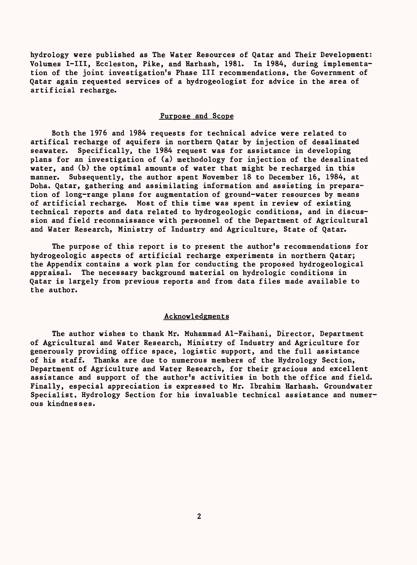hydrology were published as The Water Resources of Qatar and Their Development: Volumes I-III, Eccleston, Pike, and Harhash, 1981. In 1984, during implementation of the joint investigation's Phase III recommendations, the Government of Qatar again requested services of a hydrogeologist for advice in the area of artificial recharge.

#### Purpose and Scope

Both the 1976 and 1984 requests for technical advice were related to artifical recharge of aquifers in northern Qatar by injection of desalinated seawater. Specifically, the 1984 request was for assistance in developing plans for an investigation of (a) methodology for injection of the desalinated water, and (b) the optimal amounts of water that might be recharged in this manner. Subsequently, the author spent November 18 to December 16, 1984, at Doha, Qatar, gathering and assimilating information and assisting in preparation of long-range plans for augmentation of ground-water resources by means of artificial recharge. Most of this time was spent in review of existing technical reports and data related to hydrogeologic conditions, and in discussion and field reconnaissance with personnel of the Department of Agricultural and Water Research, Ministry of Industry and Agriculture, State of Qatar.

The purpose of this report is to present the author's recommendations for hydrogeologic aspects of artificial recharge experiments in northern Qatar; the Appendix contains a work plan for conducting the proposed hydrogeological appraisal. The necessary background material on hydrologic conditions in Qatar is largely from previous reports and from data files made available to the author.

#### Acknowledgments

The author wishes to thank Mr. Muhammad Al-Faihani, Director, Department of Agricultural and Water Research, Ministry of Industry and Agriculture for generously providing office space, logistic support, and the full assistance of his staff. Thanks are due to numerous members of the Hydrology Section, Department of Agriculture and Water Research, for their gracious and excellent assistance and support of the author's activities in both the office and field. Finally, especial appreciation is expressed to Mr. Ibrahim Harhash, Groundwater Specialist. Hydrology Section for his invaluable technical assistance and numerous kindnesses.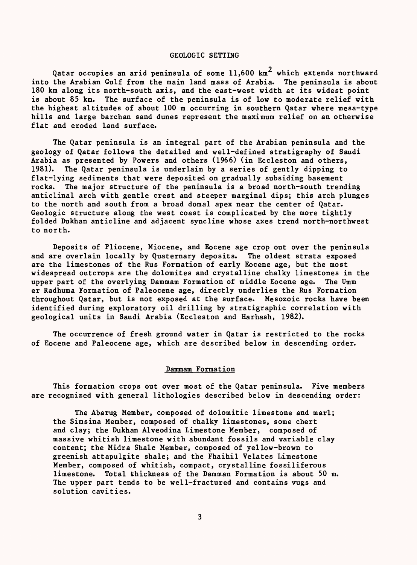#### GEOLOGIC SETTING

Qatar occupies an arid peninsula of some  $11{,}600$  km $^2$  which extends northward into the Arabian Gulf from the main land mass of Arabia. The peninsula is about 180 km along its north-south axis, and the east-west width at its widest point is about 85 km. The surface of the peninsula is of low to moderate relief with The surface of the peninsula is of low to moderate relief with the highest altitudes of about 100 m occurring in southern Qatar where mesa-type hills and large barchan sand dunes represent the maximum relief on an otherwise flat and eroded land surface.

The Qatar peninsula is an integral part of the Arabian peninsula and the geology of Qatar follows the detailed and well-defined stratigraphy of Saudi Arabia as presented by Powers and others (1966) (in Eccleston and others, 1981). The Qatar peninsula is underlain by a series of gently dipping to flat-lying sediments that were deposited on gradually subsiding basement rocks. The major structure of the peninsula is a broad north-south trending anticlinal arch with gentle crest and steeper marginal dips; this arch plunges to the north and south from a broad domal apex near the center of Qatar. Geologic structure along the west coast is complicated by the more tightly folded Dukhan anticline and adjacent syncline whose axes trend north-northwest to north.

Deposits of Pliocene, Miocene, and Eocene age crop out over the peninsula and are overlain locally by Quaternary deposits. The oldest strata exposed are the limestones of the Rus Formation of early Eocene age, but the most widespread outcrops are the dolomites and crystalline chalky limestones in the upper part of the overlying Dammam Formation of middle Eocene age. The Umm er Radhuma Formation of Paleocene age, directly underlies the Rus Formation throughout Qatar, but is not exposed at the surface. Mesozoic rocks have been identified during exploratory oil drilling by stratigraphic correlation with geological units in Saudi Arabia (Eccleston and Harhash, 1982).

The occurrence of fresh ground water in Qatar is restricted to the rocks of Eocene and Paleocene age, which are described below in descending order.

# Dammam Formation

This formation crops out over most of the Qatar peninsula. Five members are recognized with general lithologies described below in descending order:

The Abarug Member, composed of dolomitic limestone and marl; the Simsina Member, composed of chalky limestones, some chert and clay; the Dukhan Alveodina Limestone Member, composed of massive whitish limestone with abundant fossils and variable clay content; the Midra Shale Member, composed of yellow-brown to greenish attapulgite shale; and the Fhaihil Velates Limestone Member, composed of whitish, compact, crystalline fossiliferous limestone. Total thickness of the Damman Formation is about 50 m. The upper part tends to be well-fractured and contains vugs and solution cavities.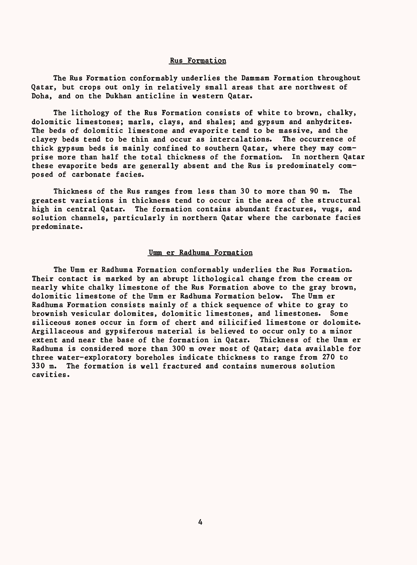#### Rus Formation

The Rus Formation conformably underlies the Dammam Formation throughout Qatar, but crops out only in relatively small areas that are northwest of Doha, and on the Dukhan anticline in western Qatar.

The lithology of the Rus Formation consists of white to brown, chalky, dolomitic limestones; marls, clays, and shales; and gypsum and anhydrites. The beds of dolomitic limestone and evaporite tend to be massive, and the clayey beds tend to be thin and occur as intercalations. The occurrence of thick gypsum beds is mainly confined to southern Qatar, where they may comprise more than half the total thickness of the formation. In northern Qatar these evaporite beds are generally absent and the Rus is predominately composed of carbonate facies.

Thickness of the Rus ranges from less than 30 to more than 90 m. The greatest variations in thickness tend to occur in the area of the structural high in central Qatar. The formation contains abundant fractures, vugs, and solution channels, particularly in northern Qatar where the carbonate facies predominate.

#### Umm er Radhuma Formation

The Umm er Radhuma Formation conformably underlies the Rus Formation. Their contact is marked by an abrupt lithological change from the cream or nearly white chalky limestone of the Rus Formation above to the gray brown, dolomitic limestone of the Umm er Radhuma Formation below. The Umm er Radhuma Formation consists mainly of a thick sequence of white to gray to brownish vesicular dolomites, dolomitic limestones, and limestones. Some siliceous zones occur in form of chert and silicified limestone or dolomite. Argillaceous and gypsiferous material is believed to occur only to a minor extent and near the base of the formation in Qatar. Thickness of the Umm er Radhuma is considered more than 300 m over most of Qatar; data available for three water-exploratory boreholes indicate thickness to range from 270 to 330 m. The formation is well fractured and contains numerous solution cavities.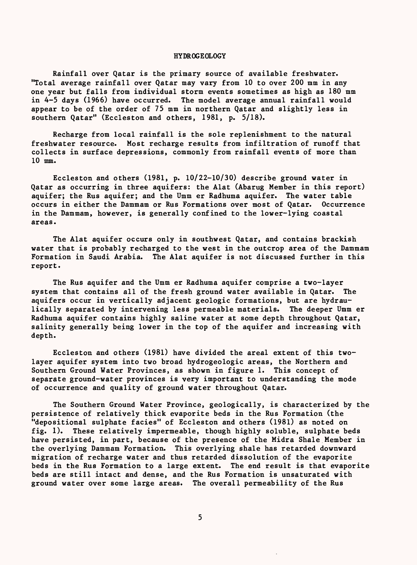#### HYDROGEOLOGY

Rainfall over Qatar is the primary source of available freshwater. "Total average rainfall over Qatar may vary from 10 to over 200 mm in any one year but falls from individual storm events sometimes as high as 180 mm in 4-5 days (1966) have occurred. The model average annual rainfall would appear to be of the order of 75 mm in northern Qatar and slightly less in southern Qatar" (Eccleston and others, 1981, p. 5/18).

Recharge from local rainfall is the sole replenishment to the natural freshwater resource. Most recharge results from infiltration of runoff that collects in surface depressions, commonly from rainfall events of more than 10 mm.

Eccleston and others (1981, p. 10/22-10/30) describe ground water in Qatar as occurring in three aquifers: the Alat (Abarug Member in this report) aquifer; the Rus aquifer; and the Umm er Radhuma aquifer. The water table occurs in either the Dammam or Rus Formations over most of Qatar. Occurrence in the Dammam, however, is generally confined to the lower-lying coastal areas.

The Alat aquifer occurs only in southwest Qatar, and contains brackish water that is probably recharged to the west in the outcrop area of the Dammam Formation in Saudi Arabia. The Alat aquifer is not discussed further in this report.

The Rus aquifer and the Umm er Radhuma aquifer comprise a two-layer system that contains all of the fresh ground water available in Qatar. The aquifers occur in vertically adjacent geologic formations, but are hydraulically separated by intervening less permeable materials. The deeper Umm er Radhuma aquifer contains highly saline water at some depth throughout Qatar, salinity generally being lower in the top of the aquifer and increasing with depth.

Eccleston and others (1981) have divided the areal extent of this twolayer aquifer system into two broad hydrogeologic areas, the Northern and Southern Ground Water Provinces, as shown in figure 1. This concept of separate ground-water provinces is very important to understanding the mode of occurrence and quality of ground water throughout Qatar.

The Southern Ground Water Province, geologically, is characterized by the persistence of relatively thick evaporite beds in the Rus Formation (the "depositional sulphate facies" of Eccleston and others (1981) as noted on fig. 1). These relatively impermeable, though highly soluble, sulphate beds have persisted, in part, because of the presence of the Midra Shale Member in the overlying Dammam Formation. This overlying shale has retarded downward migration of recharge water and thus retarded dissolution of the evaporite beds in the Rus Formation to a large extent. The end result is that evaporite beds are still intact and dense, and the Rus Formation is unsaturated with ground water over some large areas. The overall permeability of the Rus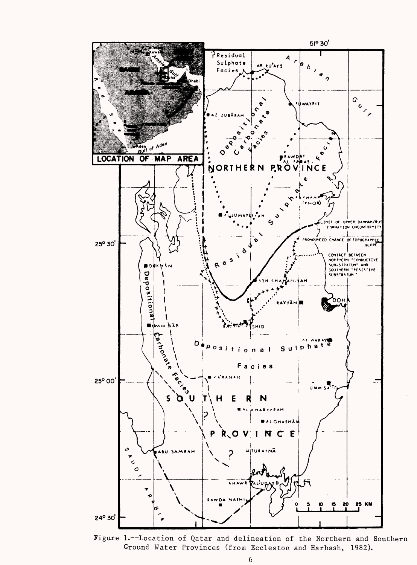

Figure 1.--Location of Qatar and delineation of the Northern and Southern Ground Water Provinces (from Eccleston and Harhash, 1982).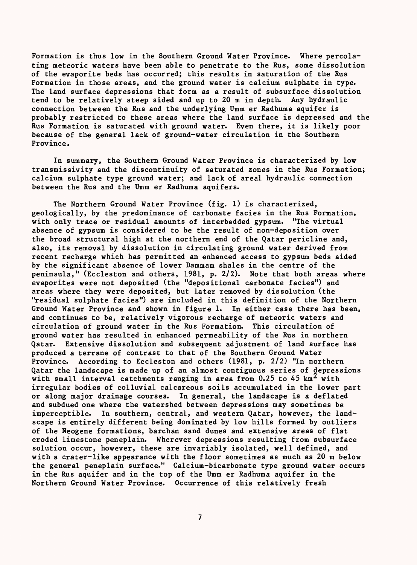Formation is thus low in the Southern Ground Water Province. Where percolating meteoric waters have been able to penetrate to the Rus, some dissolution of the evaporite beds has occurred; this results in saturation of the Rus Formation in those areas, and the ground water is calcium sulphate in type. The land surface depressions that form as a result of subsurface dissolution tend to be relatively steep sided and up to 20 m in depth. Any hydraulic connection between the Rus and the underlying Umm er Radhuma aquifer is probably restricted to these areas where the land surface is depressed and the Rus Formation is saturated with ground water. Even there, it is likely poor because of the general lack of ground-water circulation in the Southern Province.

In summary, the Southern Ground Water Province is characterized by low transmissivity and the discontinuity of saturated zones in the Rus Formation; calcium sulphate type ground water; and lack of areal hydraulic connection between the Rus and the Umm er Radhuma aquifers.

The Northern Ground Water Province (fig. 1) is characterized, geologically, by the predominance of carbonate facies in the Rus Formation, with only trace or residual amounts of interbedded gypsum. "The virtual absence of gypsum is considered to be the result of non-deposition over the broad structural high at the northern end of the Qatar pericline and, also, its removal by dissolution in circulating ground water derived from recent recharge which has permitted an enhanced access to gypsum beds aided by the significant absence of lower Dammam shales in the centre of the peninsula," (Eccleston and others, 1981, p. 2/2). Note that both areas where evaporites were not deposited (the "depositional carbonate facies") and areas where they were deposited, but later removed by dissolution (the "residual sulphate facies") are included in this definition of the Northern Ground Water Province and shown in figure 1. In either case there has been, and continues to be, relatively vigorous recharge of meteoric waters and circulation of ground water in the Rus Formation. This circulation of ground water has resulted in enhanced permeability of the Rus in northern Qatar. Extensive dissolution and subsequent adjustment of land surface has produced a terrane of contrast to that of the Southern Ground Water Province. According to Eccleston and others (1981, p. 2/2) "In northern Qatar the landscape is made up of an almost contiguous series of depressions with small interval catchments ranging in area from  $0.25$  to  $45 \text{ km}^2$  with irregular bodies of colluvial calcareous soils accumulated in the lower part or along major drainage courses. In general, the landscape is a deflated and subdued one where the watershed between depressions may sometimes be imperceptible. In southern, central, and western Qatar, however, the landscape is entirely different being dominated by low hills formed by outliers of the Neogene formations, barchan sand dunes and extensive areas of flat eroded limestone peneplain. Wherever depressions resulting from subsurface solution occur, however, these are invariably isolated, well defined, and with a crater-like appearance with the floor sometimes as much as 20 m below the general peneplain surface." Calcium-bicarbonate type ground water occurs in the Rus aquifer and in the top of the Umm er Radhuma aquifer in the Northern Ground Water Province. Occurrence of this relatively fresh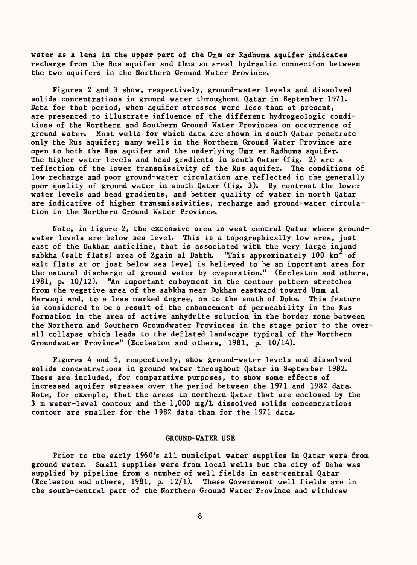water as a lens in the upper part of the Umm er Radhuma aquifer indicates recharge from the Rus aquifer and thus an areal hydraulic connection between the two aquifers in the Northern Ground Water Province.

Figures 2 and 3 show, respectively, ground-water levels and dissolved solids concentrations in ground water throughout Qatar in September 1971. Data for that period, when aquifer stresses were less than at present, are presented to illustrate influence of the different hydrogeologic conditions of the Northern and Southern Ground Water Provinces on occurrence of ground water. Most wells for which data are shown in south Qatar penetrate only the Rus aquifer; many wells in the Northern Ground Water Province are open to both the Rus aquifer and the underlying Umm er Radhuma aquifer. The higher water levels and head gradients in south Qatar (fig. 2) are a reflection of the lower transmissivity of the Rus aquifer. The conditions of low recharge and poor ground-water circulation are reflected in the generally poor quality of ground water in south Qatar (fig. 3). By contrast the lower water levels and head gradients, and better quality of water in north Qatar are indicative of higher transmissivities, recharge and ground-water circulation in the Northern Ground Water Province.

Note, in figure 2, the extensive area in west central Qatar where groundwater levels are below sea level. This is a topographically low area, just east of the Dukhan anticline, that is associated with the very large inland sabkha (salt flats) area of Zgain al Dahth. "This approximately 100  $km^2$  of salt flats at or just below sea level is believed to be an important area for the natural discharge of ground water by evaporation." (Eccleston and others, 1981, p. 10/12). "An important embayment in the contour pattern stretches from the vegetive area of the sabkha near Dukhan eastward toward Umm al Marwaqi and, to a less marked degree, on to the south of Doha. This feature is considered to be a result of the enhancement of permeability in the Rus Formation in the area of active anhydrite solution in the border zone between the Northern and Southern Groundwater Provinces in the stage prior to the overall collapse which leads to the deflated landscape typical of the Northern Groundwater Province" (Eccleston and others, 1981, p. 10/14).

Figures 4 and 5, respectively, show ground-water levels and dissolved solids concentrations in ground water throughout Qatar in September 1982. These are included, for comparative purposes, to show some effects of increased aquifer stresses over the period between the 1971 and 1982 data. Note, for example, that the areas in northern Qatar that are enclosed by the 3 m water-level contour and the 1,000 mg/L dissolved solids concentrations contour are smaller for the 1982 data than for the 1971 data.

#### GROUND-WATER USE

Prior to the early 1960's all municipal water supplies in Qatar were from ground water. Small supplies were from local wells but the city of Doha was supplied by pipeline from a number of well fields in east-central Qatar (Eccleston and others, 1981, p. 12/1). These Government well fields are in the south-central part of the Northern Ground Water Province and withdraw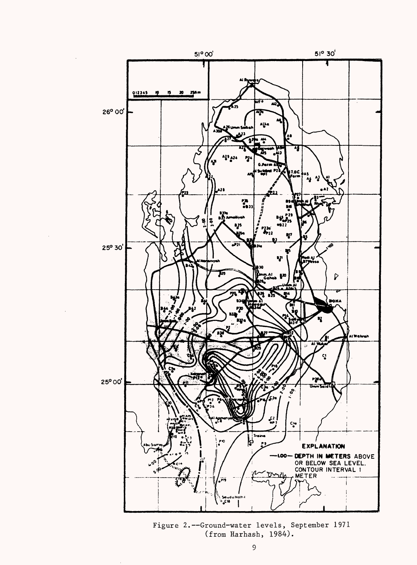

Figure 2.--Ground-water levels, September 1971 (from Harhash, 1984).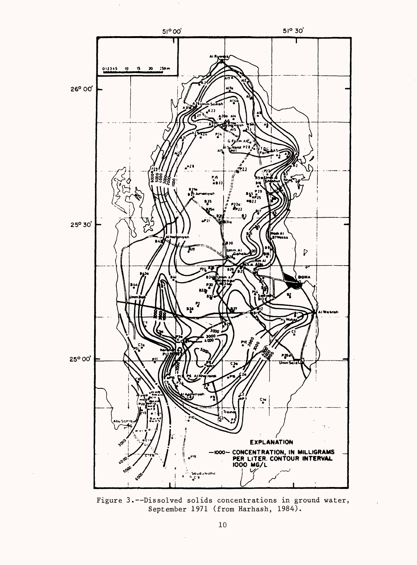

Figure 3.--Dissolved solids concentrations in ground water, September 1971 (from Harhash, 1984).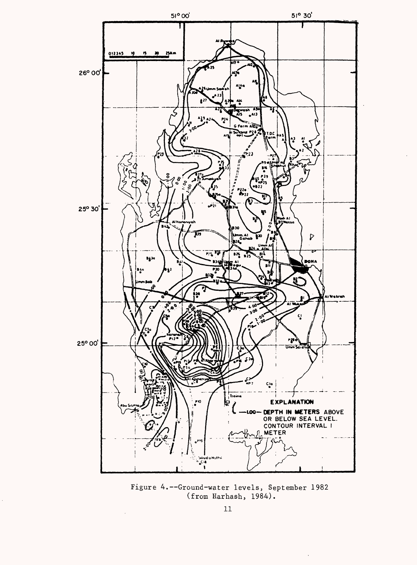

Figure 4.--Ground-water levels, September 1982 (from Harhash, 1984).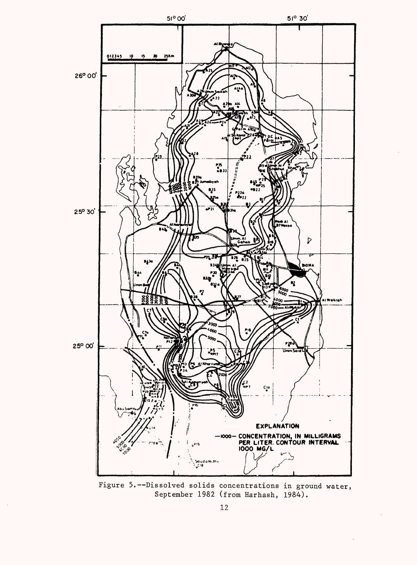

Figure 5.--Dissolved solids concentrations in ground water, September 1982 (from Harhash, 1984).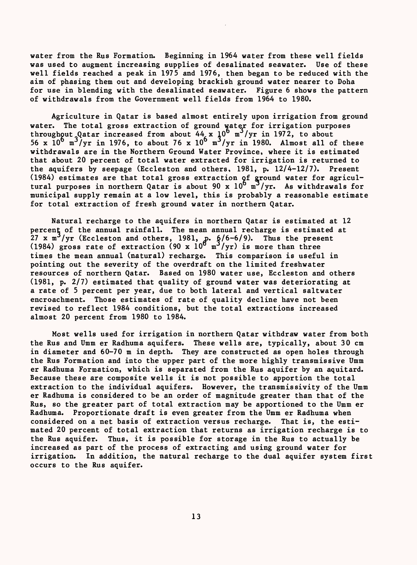water from the Rus Formation. Beginning in 1964 water from these well fields was used to augment increasing supplies of desalinated seawater. Use of these well fields reached a peak in 1975 and 1976, then began to be reduced with the aim of phasing them out and developing brackish ground water nearer to Doha for use in blending with the desalinated seawater. Figure 6 shows the pattern of withdrawals from the Government well fields from 1964 to 1980.

Agriculture in Qatar is based almost entirely upon irrigation from ground water. The total gross extraction of ground water for irrigation purposes throughout Qatar increased from about 44 x 10 m /yr in 1972, to about 56 x  $10^{\circ}$  m<sup>3</sup>/yr in 1976, to about 76 x  $10^{\circ}$  m<sup>3</sup>/yr in 1980. Almost all of these withdrawals are in the Northern Ground Water Province, where it is estimated that about 20 percent of total water extracted for irrigation is returned to the aquifers by seepage (Eccleston and others, 1981, p. 12/4-12/7). Present (1984) estimates are that total gross extraction  $\mathsf{q}\mathsf{f}$  ground water for agricultural purposes in northern Qatar is about 90 x  $10^{\circ}$  m<sup>3</sup>/yr. As withdrawals for municipal supply remain at a low level, this is probably a reasonable estimate for total extraction of fresh ground water in northern Qatar.

Natural recharge to the aquifers in northern Qatar is estimated at 12 percent of the annual rainfall. The mean annual recharge is estimated at 27 x m<sup>-</sup>/yr (Eccleston and others, 1981,  $p.$   $\frac{6}{6}$ -6/9). Thus the present (1984) gross rate of extraction (90 x  $10^{\circ}$  m $^{\prime}$ /yr) is more than three times the mean annual (natural) recharge. This comparison is useful in pointing out the severity of the overdraft on the limited freshwater resources of northern Qatar. Based on 1980 water use, Eccleston and others (1981, p. 2/7) estimated that quality of ground water was deteriorating at a rate of 5 percent per year, due to both lateral and vertical saltwater encroachment. Those estimates of rate of quality decline have not been revised to reflect 1984 conditions, but the total extractions increased almost 20 percent from 1980 to 1984.

Most wells used for irrigation in northern Qatar withdraw water from both the Rus and Umm er Radhuma aquifers. These wells are, typically, about 30 cm in diameter and 60-70 m in depth. They are constructed as open holes through the Rus Formation and into the upper part of the more highly transmissive Umm er Radhuma Formation, which is separated from the Rus aquifer by an aquitard. Because these are composite wells it is not possible to apportion the total extraction to the individual aquifers. However, the transmissivity of the Umm er Radhuma is considered to be an order of magnitude greater than that of the Rus, so the greater part of total extraction may be apportioned to the Umm er Radhuma. Proportionate draft is even greater from the Umm er Radhuma when considered on a net basis of extraction versus recharge. That is, the estimated 20 percent of total extraction that returns as irrigation recharge is to the Rus aquifer. Thus, it is possible for storage in the Rus to actually be increased as part of the process of extracting and using ground water for irrigation. In addition, the natural recharge to the dual aquifer system first occurs to the Rus aquifer.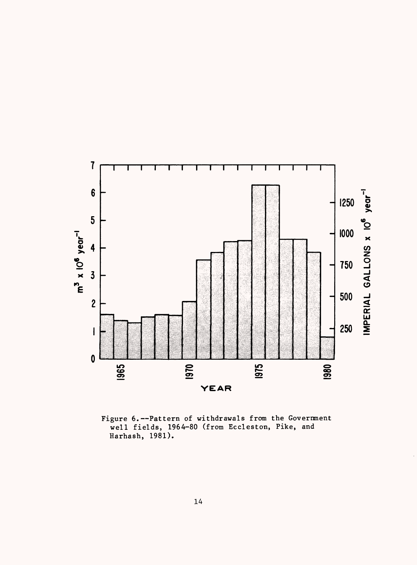

Figure 6.--Pattern of withdrawals from the Government well fields, 1964-80 (from Eccleston, Pike, and Harhash, 1981).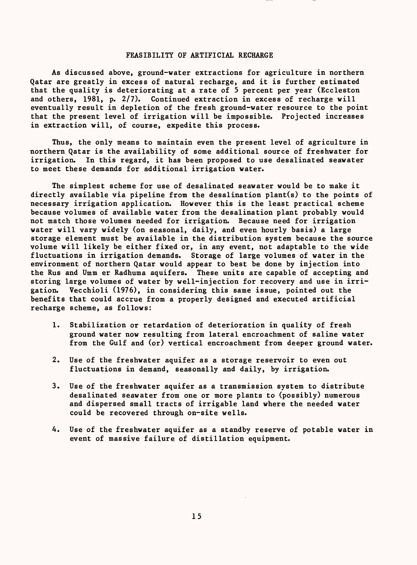#### FEASIBILITY OF ARTIFICIAL RECHARGE

As discussed above, ground-water extractions for agriculture in northern Qatar are greatly in excess of natural recharge, and it is further estimated that the quality is deteriorating at a rate of 5 percent per year (Eccleston and others, 1981, p. 2/7). Continued extraction in excess of recharge will eventually result in depletion of the fresh ground-water resource to the point that the present level of irrigation will be impossible. Projected increases in extraction will, of course, expedite this process.

Thus, the only means to maintain even the present level of agriculture in northern Qatar is the availability of some additional source of freshwater for irrigation. In this regard, it has been proposed to use desalinated seawater to meet these demands for additional irrigation water.

The simplest scheme for use of desalinated seawater would be to make it directly available via pipeline from the desalination plant(s) to the points of necessary irrigation application. However this is the least practical scheme because volumes of available water from the desalination plant probably would not match those volumes needed for irrigation. Because need for irrigation water will vary widely (on seasonal, daily, and even hourly basis) a large storage element must be available in the distribution system because the source volume will likely be either fixed or, in any event, not adaptable to the wide fluctuations in irrigation demands. Storage of large volumes of water in the environment of northern Qatar would appear to best be done by injection into the Rus and Umm er Radhuma aquifers. These units are capable of accepting and storing large volumes of water by well-injection for recovery and use in irrigation. Vecchioli (1976), in considering this same issue, pointed out the benefits that could accrue from a properly designed and executed artificial recharge scheme, as follows:

- 1. Stabilization or retardation of deterioration in quality of fresh ground water now resulting from lateral encroachment of saline water from the Gulf and (or) vertical encroachment from deeper ground water.
- 2. Use of the freshwater aquifer as a storage reservoir to even out fluctuations in demand, seasonally and daily, by irrigation.
- 3. Use of the freshwater aquifer as a transmission system to distribute desalinated seawater from one or more plants to (possibly) numerous and dispersed small tracts of irrigable land where the needed water could be recovered through on-site wells.
- 4. Use of the freshwater aquifer as a standby reserve of potable water in event of massive failure of distillation equipment.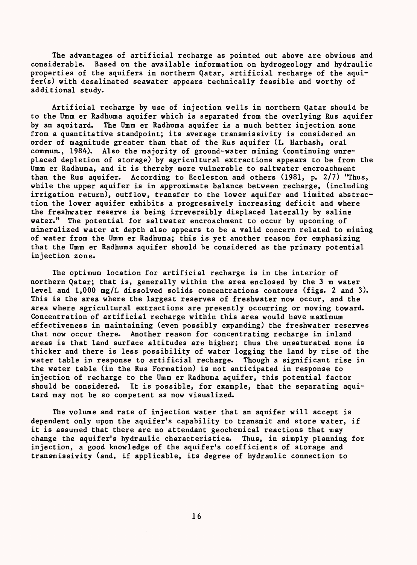The advantages of artificial recharge as pointed out above are obvious and considerable. Based on the available information on hydrogeology and hydraulic properties of the aquifers in northern Qatar, artificial recharge of the aquifer(s) with desalinated seawater appears technically feasible and worthy of additional study.

Artificial recharge by use of injection wells in northern Qatar should be to the Umm er Radhuma aquifer which is separated from the overlying Rus aquifer by an aquitard. The Umm er Radhuma aquifer is a much better injection zone from a quantitative standpoint; its average transmissivity is considered an order of magnitude greater than that of the Rus aquifer (I. Harhash, oral commun., 1984). Also the majority of ground-water mining (continuing unreplaced depletion of storage) by agricultural extractions appears to be from the Umm er Radhuma, and it is thereby more vulnerable to saltwater encroachment than the Rus aquifer. According to Eccleston and others (1981, p. 2/7) "Thus, while the upper aquifer is in approximate balance between recharge, (including irrigation return), outflow, transfer to the lower aquifer and limited abstraction the lower aquifer exhibits a progressively increasing deficit and where the freshwater reserve is being irreversibly displaced laterally by saline water." The potential for saltwater encroachment to occur by upconing of mineralized water at depth also appears to be a valid concern related to mining of water from the Umm er Radhuma; this is yet another reason for emphasizing that the Umm er Radhuma aquifer should be considered as the primary potential injection zone.

The optimum location for artificial recharge is in the interior of northern Qatar; that is, generally within the area enclosed by the 3 m water level and 1,000 mg/L dissolved solids concentrations contours (figs. 2 and 3). This is the area where the largest reserves of freshwater now occur, and the area where agricultural extractions are presently occurring or moving toward. Concentration of artificial recharge within this area would have maximum effectiveness in maintaining (even possibly expanding) the freshwater reserves that now occur there. Another reason for concentrating recharge in inland areas is that land surface altitudes are higher; thus the unsaturated zone is thicker and there is less possibility of water logging the land by rise of the water table in response to artificial recharge. Though a significant rise in the water table (in the Rus Formation) is not anticipated in response to injection of recharge to the Umm er Radhuma aquifer, this potential factor should be considered. It is possible, for example, that the separating aquitard may not be so competent as now visualized.

The volume and rate of injection water that an aquifer will accept is dependent only upon the aquifer's capability to transmit and store water, if it is assumed that there are no attendant geochemical reactions that may change the aquifer's hydraulic characteristics. Thus, in simply planning for injection, a good knowledge of the aquifer's coefficients of storage and transmissivity (and, if applicable, its degree of hydraulic connection to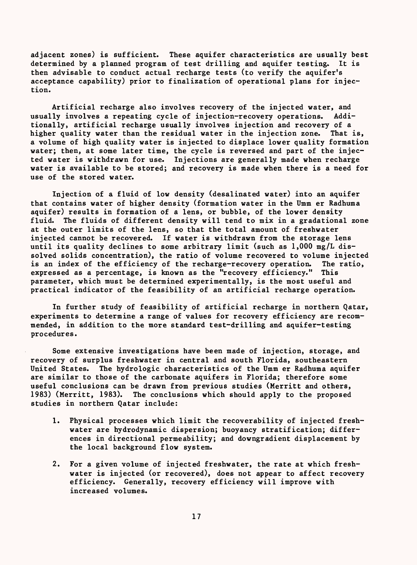adjacent zones) is sufficient. These aquifer characteristics are usually best determined by a planned program of test drilling and aquifer testing. It is then advisable to conduct actual recharge tests (to verify the aquifer's acceptance capability) prior to finalization of operational plans for injection.

Artificial recharge also involves recovery of the injected water, and usually involves a repeating cycle of injection-recovery operations. Additionally, artificial recharge usually involves injection and recovery of a higher quality water than the residual water in the injection zone. That is, a volume of high quality water is injected to displace lower quality formation water; then, at some later time, the cycle is reversed and part of the injected water is withdrawn for use. Injections are generally made when recharge water is available to be stored; and recovery is made when there is a need for use of the stored water.

Injection of a fluid of low density (desalinated water) into an aquifer that contains water of higher density (formation water in the Umm er Radhuma aquifer) results in formation of a lens, or bubble, of the lower density fluid. The fluids of different density will tend to mix in a gradational zone at the outer limits of the lens, so that the total amount of freshwater injected cannot be recovered. If water is withdrawn from the storage lens until its quality declines to some arbitrary limit (such as 1,000 mg/L dissolved solids concentration), the ratio of volume recovered to volume injected is an index of the efficiency of the recharge-recovery operation. The ratio, expressed as a percentage, is known as the "recovery efficiency." This parameter, which must be determined experimentally, is the most useful and practical indicator of the feasibility of an artificial recharge operation.

In further study of feasibility of artificial recharge in northern Qatar, experiments to determine a range of values for recovery efficiency are recommended, in addition to the more standard test-drilling and aquifer-testing procedures.

Some extensive investigations have been made of injection, storage, and recovery of surplus freshwater in central and south Florida, southeastern United States. The hydrologic characteristics of the Umm er Radhuma aquifer are similar to those of the carbonate aquifers in Florida; therefore some useful conclusions can be drawn from previous studies (Merritt and others, 1983) (Merritt, 1983). The conclusions which should apply to the proposed studies in northern Qatar include:

- 1. Physical processes which limit the recoverability of injected freshwater are hydrodynamic dispersion; buoyancy stratification; differences in directional permeability; and downgradient displacement by the local background flow system.
- 2. For a given volume of injected freshwater, the rate at which freshwater is injected (or recovered), does not appear to affect recovery efficiency. Generally, recovery efficiency will improve with increased volumes.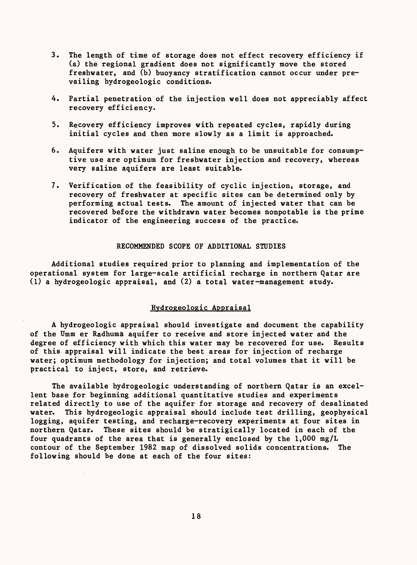- 3. The length of time of storage does not effect recovery efficiency if (a) the regional gradient does not significantly move the stored freshwater, and (b) buoyancy stratification cannot occur under prevailing hydrogeologic conditions.
- 4. Partial penetration of the injection well does not appreciably affect recovery efficiency.
- 5. Recovery efficiency improves with repeated cycles, rapidly during initial cycles and then more slowly as a limit is approached.
- 6. Aquifers with water just saline enough to be unsuitable for consumptive use are optimum for freshwater injection and recovery, whereas very saline aquifers are least suitable.
- 7. Verification of the feasibility of cyclic injection, storage, and recovery of freshwater at specific sites can be determined only by performing actual tests. The amount of injected water that can be recovered before the withdrawn water becomes nonpotable is the prime indicator of the engineering success of the practice.

### RECOMMENDED SCOPE OF ADDITIONAL STUDIES

Additional studies required prior to planning and implementation of the operational system for large-scale artificial recharge in northern Qatar are (1) a hydrogeologic appraisal, and (2) a total water-management study.

### Hvdrogeologic Appraisal

A hydrogeologic appraisal should investigate and document the capability of the Umm er Radhuma aquifer to receive and store injected water and the degree of efficiency with which this water may be recovered for use. Results of this appraisal will indicate the best areas for injection of recharge water; optimum methodology for injection; and total volumes that it will be practical to inject, store, and retrieve.

The available hydrogeologic understanding of northern Qatar is an excellent base for beginning additional quantitative studies and experiments related directly to use of the aquifer for storage and recovery of desalinated water. This hydrogeologic appraisal should include test drilling, geophysical logging, aquifer testing, and recharge-recovery experiments at four sites in northern Qatar. These sites should be stratigically located in each of the four quadrants of the area that is generally enclosed by the  $1,000$  mg/L contour of the September 1982 map of dissolved solids concentrations. The following should be done at each of the four sites: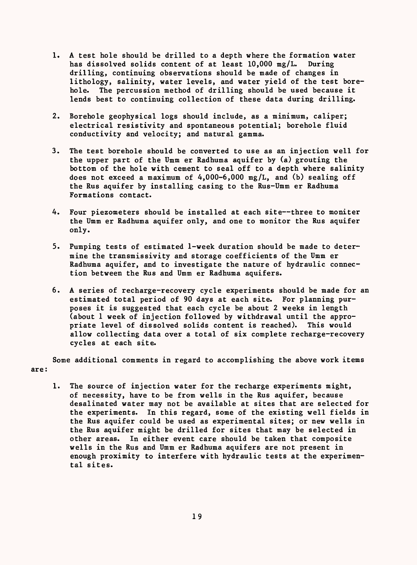- 1. A test hole should be drilled to a depth where the formation water<br>has dissolved solids content of at least  $10,000$  mg/L. During has dissolved solids content of at least  $10,000$  mg/L. drilling, continuing observations should be made of changes in lithology, salinity, water levels, and water yield of the test borehole. The percussion method of drilling should be used because it lends best to continuing collection of these data during drilling.
- 2. Borehole geophysical logs should include, as a minimum, caliper; electrical resistivity and spontaneous potential; borehole fluid conductivity and velocity; and natural gamma.
- 3. The test borehole should be converted to use as an injection well for the upper part of the Umm er Radhuma aquifer by (a) grouting the bottom of the hole with cement to seal off to a depth where salinity does not exceed a maximum of  $4,000-6,000$  mg/L, and (b) sealing off the Rus aquifer by installing casing to the Rus-Umm er Radhuma Formations contact.
- 4. Four piezometers should be installed at each site--three to moniter the Umm er Radhuma aquifer only, and one to monitor the Rus aquifer only.
- 5. Pumping tests of estimated 1-week duration should be made to determine the transmissivity and storage coefficients of the Umm er Radhuma aquifer, and to investigate the nature of hydraulic connection between the Rus and Umm er Radhuma aquifers.
- 6. A series of recharge-recovery cycle experiments should be made for an estimated total period of 90 days at each site. For planning purposes it is suggested that each cycle be about 2 weeks in length (about 1 week of injection followed by withdrawal until the appropriate level of dissolved solids content is reached). This would allow collecting data over a total of six complete recharge-recovery cycles at each site.

Some additional comments in regard to accomplishing the above work items are:

1. The source of injection water for the recharge experiments might, of necessity, have to be from wells in the Rus aquifer, because desalinated water may not be available at sites that are selected for the experiments. In this regard, some of the existing well fields in the Rus aquifer could be used as experimental sites; or new wells in the Rus aquifer might be drilled for sites that may be selected in other areas. In either event care should be taken that composite wells in the Rus and Umm er Radhuma aquifers are not present in enough proximity to interfere with hydraulic tests at the experimental sites.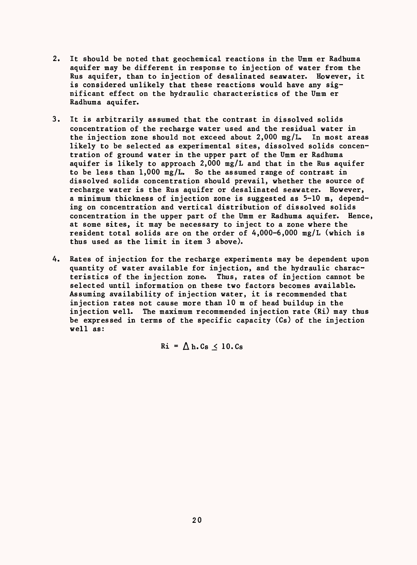- $2.$ It should be noted that geochemical reactions in the Umm er Radhuma aquifer may be different in response to injection of water from the Rus aquifer, than to injection of desalinated seawater. However, it is considered unlikely that these reactions would have any significant effect on the hydraulic characteristics of the Umm er Radhuma aquifer.
- It is arbitrarily assumed that the contrast in dissolved solids  $3.$ concentration of the recharge water used and the residual water in the injection zone should not exceed about  $2,000$  mg/L. In most areas likely to be selected as experimental sites, dissolved solids concentration of ground water in the upper part of the Umm er Radhuma aquifer is likely to approach 2,000 mg/L and that in the Rus aquifer to be less than 1,000 mg/L. So the assumed range of contrast in dissolved solids concentration should prevail, whether the source of recharge water is the Rus aquifer or desalinated seawater. However, a minimum thickness of injection zone is suggested as 5-10 m, depending on concentration and vertical distribution of dissolved solids concentration in the upper part of the Umm er Radhuma aquifer. Hence, at some sites, it may be necessary to inject to a zone where the resident total solids are on the order of  $4,000-6,000$  mg/L (which is thus used as the limit in item 3 above).
- $4.$ Rates of injection for the recharge experiments may be dependent upon quantity of water available for injection, and the hydraulic characteristics of the injection zone. Thus, rates of injection cannot be selected until information on these two factors becomes available. Assuming availability of injection water, it is recommended that injection rates not cause more than 10 m of head buildup in the injection well. The maximum recommended injection rate (Ri) may thus be expressed in terms of the specific capacity (Cs) of the injection well as:

$$
Ri = \Delta h.Cs \leq 10.Cs
$$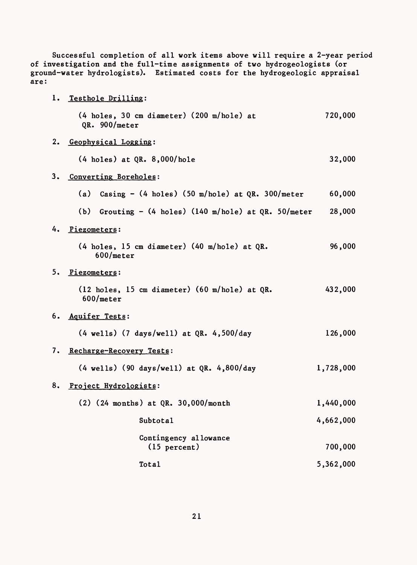| Successful completion of all work items above will require a 2-year period<br>of investigation and the full-time assignments of two hydrogeologists (or<br>ground-water hydrologists). Estimated costs for the hydrogeologic appraisal<br>are: |    |                                                                                       |           |  |  |  |  |
|------------------------------------------------------------------------------------------------------------------------------------------------------------------------------------------------------------------------------------------------|----|---------------------------------------------------------------------------------------|-----------|--|--|--|--|
|                                                                                                                                                                                                                                                |    | 1. Testhole Drilling:                                                                 |           |  |  |  |  |
|                                                                                                                                                                                                                                                |    | (4 holes, 30 cm diameter) (200 m/hole) at<br>QR. 900/meter                            | 720,000   |  |  |  |  |
|                                                                                                                                                                                                                                                | 2. | Geophysical Logging:                                                                  |           |  |  |  |  |
|                                                                                                                                                                                                                                                |    | $(4 \text{ holes})$ at QR. $8,000/\text{hole}$                                        | 32,000    |  |  |  |  |
| 3. Converting Boreholes:                                                                                                                                                                                                                       |    |                                                                                       |           |  |  |  |  |
|                                                                                                                                                                                                                                                |    | (a) Casing $-$ (4 holes) (50 m/hole) at QR. 300/meter                                 | 60,000    |  |  |  |  |
|                                                                                                                                                                                                                                                |    | (b) Grouting - $(4 \text{ holes})$ $(140 \text{ m/hole})$ at $QR. 50/meter$           | 28,000    |  |  |  |  |
|                                                                                                                                                                                                                                                |    | 4. Piezometers:                                                                       |           |  |  |  |  |
|                                                                                                                                                                                                                                                |    | $(4 \text{ holes}, 15 \text{ cm diameter})$ $(40 \text{ m/hole})$ at QR.<br>600/meter | 96,000    |  |  |  |  |
|                                                                                                                                                                                                                                                |    | 5. Piezometers:                                                                       |           |  |  |  |  |
|                                                                                                                                                                                                                                                |    | (12 holes, 15 cm diameter) (60 m/hole) at QR.<br>600/meter                            | 432,000   |  |  |  |  |
|                                                                                                                                                                                                                                                |    | 6. Aquifer Tests:                                                                     |           |  |  |  |  |
|                                                                                                                                                                                                                                                |    | $(4 \text{ wells})$ $(7 \text{ days/well})$ at QR. 4,500/day                          | 126,000   |  |  |  |  |
|                                                                                                                                                                                                                                                |    | 7. Recharge-Recovery Tests:                                                           |           |  |  |  |  |
|                                                                                                                                                                                                                                                |    | $(4 \text{ wells})$ (90 days/well) at QR. 4,800/day                                   | 1,728,000 |  |  |  |  |
|                                                                                                                                                                                                                                                | 8. | Project Hydrologists:                                                                 |           |  |  |  |  |
|                                                                                                                                                                                                                                                |    | $(2)$ (24 months) at QR. 30,000/month                                                 | 1,440,000 |  |  |  |  |
|                                                                                                                                                                                                                                                |    | Subtotal                                                                              | 4,662,000 |  |  |  |  |
|                                                                                                                                                                                                                                                |    | Contingency allowance<br>$(15$ percent)                                               | 700,000   |  |  |  |  |
|                                                                                                                                                                                                                                                |    | Total                                                                                 | 5,362,000 |  |  |  |  |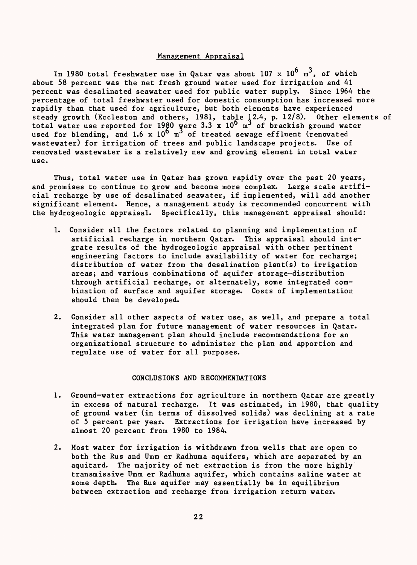#### Management Appraisal

In 1980 total freshwater use in Qatar was about 107 x  $10^6$   $\mathrm{m}^3$ , of which about 58 percent was the net fresh ground water used for irrigation and 41 percent was desalinated seawater used for public water supply. Since 1964 the percentage of total freshwater used for domestic consumption has increased more rapidly than that used for agriculture, but both elements have experienced steady growth (Eccleston and others, 1981, table 12.4, p. 12/8). Other elements of total water use reported for 1980 yere 3.3 x 10° m' of brackish ground water used for blending, and 1.6 x  $10^6$  m<sup>3</sup> of treated sewage effluent (renovated wastewater) for irrigation of trees and public landscape projects. Use of renovated wastewater is a relatively new and growing element in total water use.

Thus, total water use in Qatar has grown rapidly over the past 20 years, and promises to continue to grow and become more complex. Large scale artificial recharge by use of desalinated seawater, if implemented, will add another significant element. Hence, a management study is recommended concurrent with the hydrogeologic appraisal. Specifically, this management appraisal should:

- 1. Consider all the factors related to planning and implementation of artificial recharge in northern Qatar. This appraisal should integrate results of the hydrogeologic appraisal with other pertinent engineering factors to include availability of water for recharge; distribution of water from the desalination plant(s) to irrigation areas; and various combinations of aquifer storage-distribution through artificial recharge, or alternately, some integrated combination of surface and aquifer storage. Costs of implementation should then be developed.
- 2. Consider all other aspects of water use, as well, and prepare a total integrated plan for future management of water resources in Qatar. This water management plan should include recommendations for an organizational structure to administer the plan and apportion and regulate use of water for all purposes.

### CONCLUSIONS AND RECOMMENDATIONS

- 1. Ground-water extractions for agriculture in northern Qatar are greatly in excess of natural recharge. It was estimated, in 1980, that quality of ground water (in terms of dissolved solids) was declining at a rate of 5 percent per year. Extractions for irrigation have increased by almost 20 percent from 1980 to 1984.
- 2. Most water for irrigation is withdrawn from wells that are open to both the Rus and Umm er Radhuma aquifers, which are separated by an aquitard. The majority of net extraction is from the more highly transmissive Umm er Radhuma aquifer, which contains saline water at some depth. The Rus aquifer may essentially be in equilibrium between extraction and recharge from irrigation return water.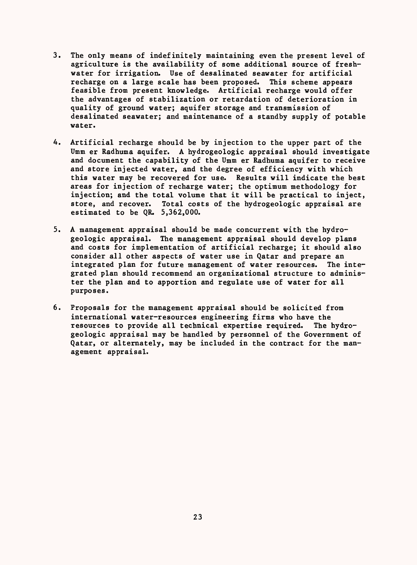- 3. The only means of indefinitely maintaining even the present level of agriculture is the availability of some additional source of freshwater for irrigation. Use of desalinated seavater for artificial recharge on a large scale has been proposed. This scheme appears feasible from present knowledge. Artificial recharge would offer the advantages of stabilization or retardation of deterioration in quality of ground water; aquifer storage and transmission of desalinated seawater; and maintenance of a standby supply of potable water.
- 4. Artificial recharge should be by injection to the upper part of the Umm er Radhuma aquifer. A hydrogeologic appraisal should investigate and document the capability of the Umm er Radhuma aquifer to receive and store injected water, and the degree of efficiency with which this water may be recovered for use. Results will indicate the best areas for injection of recharge water; the optimum methodology for injection; and the total volume that it will be practical to inject, store, and recover. Total costs of the hydrogeologic appraisal are estimated to be QR. 5,362,000.
- 5. A management appraisal should be made concurrent with the hydrogeologic appraisal. The management appraisal should develop plans and costs for implementation of artificial recharge; it should also consider all other aspects of water use in Qatar and prepare an integrated plan for future management of water resources. The integrated plan should recommend an organizational structure to administer the plan and to apportion and regulate use of water for all purposes.
- 6. Proposals for the management appraisal should be solicited from international water-resources engineering firms who have the resources to provide all technical expertise required. The hydrogeologic appraisal may be handled by personnel of the Government of Qatar, or alternately, may be included in the contract for the management appraisal.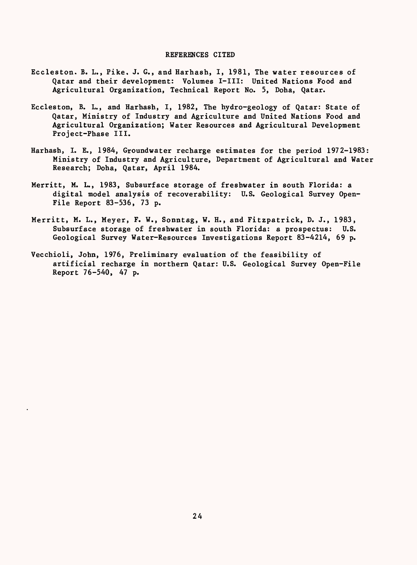#### REFERENCES CITED

- Eccleston. B. L., Pike. J. G., and Harhash, I, 1981, The water resources of Qatar and their development: Volumes I-III: United Nations Food and Agricultural Organization, Technical Report No. 5, Doha, Qatar.
- Eccleston, B. L., and Harhash, I, 1982, The hydro-geology of Qatar: State of Qatar, Ministry of Industry and Agriculture and United Nations Food and Agricultural Organization; Water Resources and Agricultural Development Project-Phase III.
- Harhash, I. E., 1984, Groundwater recharge estimates for the period 1972-1983: Ministry of Industry and Agriculture, Department of Agricultural and Water Research; Doha, Qatar, April 1984.
- Merritt, M. L., 1983, Subsurface storage of freshwater in south Florida: a digital model analysis of recoverability: U.S. Geological Survey Open-File Report 83-536, 73 p.
- Merritt, M. L., Meyer, F. W., Sonntag, W. H., and Fitzpatrick, D. J., 1983, Subsurface storage of freshwater in south Florida: a prospectus: U.S. Geological Survey Water-Resources Investigations Report 83-4214, 69 p.
- Vecchioli, John, 1976, Preliminary evaluation of the feasibility of artificial recharge in northern Qatar: U.S. Geological Survey Open-File Report 76-540, 47 p.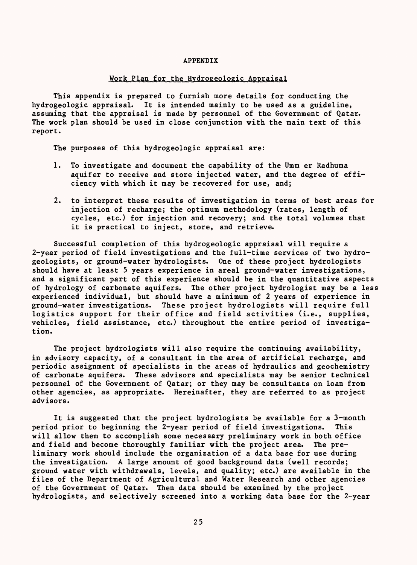#### APPENDIX

# Work Plan for the Hvdrogeologic Appraisal

This appendix is prepared to furnish more details for conducting the hydrogeologic appraisal. It is intended mainly to be used as a guideline, assuming that the appraisal is made by personnel of the Government of Qatar. The work plan should be used in close conjunction with the main text of this report.

The purposes of this hydrogeologic appraisal are:

- 1. To investigate and document the capability of the Umm er Radhuma aquifer to receive and store injected water, and the degree of efficiency with which it may be recovered for use, and;
- 2. to interpret these results of investigation in terms of best areas for injection of recharge; the optimum methodology (rates, length of cycles, etc.) for injection and recovery; and the total volumes that it is practical to inject, store, and retrieve.

Successful completion of this hydrogeologic appraisal will require a 2-year period of field investigations and the full-time services of two hydrogeologists, or ground-water hydrologists. One of these project hydrologists should have at least 5 years experience in areal ground-water investigations, and a significant part of this experience should be in the quantitative aspects of hydrology of carbonate aquifers. The other project hydrologist may be a less experienced individual, but should have a minimum of 2 years of experience in ground-water investigations. These project hydrologists will require full logistics support for their office and field activities (i.e., supplies, vehicles, field assistance, etc.) throughout the entire period of investigation.

The project hydrologists will also require the continuing availability, in advisory capacity, of a consultant in the area of artificial recharge, and periodic assignment of specialists in the areas of hydraulics and geochemistry of carbonate aquifers. These advisors and specialists may be senior technical personnel of the Government of Qatar; or they may be consultants on loan from other agencies, as appropriate. Hereinafter, they are referred to as project advisors.

It is suggested that the project hydrologists be available for a 3-month period prior to beginning the 2-year period of field investigations. This will allow them to accomplish some necessary preliminary work in both office and field and become thoroughly familiar with the project area. The preliminary work should include the organization of a data base for use during the investigation. A large amount of good background data (well records; ground water with withdrawals, levels, and quality; etc.) are available in the files of the Department of Agricultural and Water Research and other agencies of the Government of Qatar. Then data should be examined by the project hydrologists, and selectively screened into a working data base for the 2-year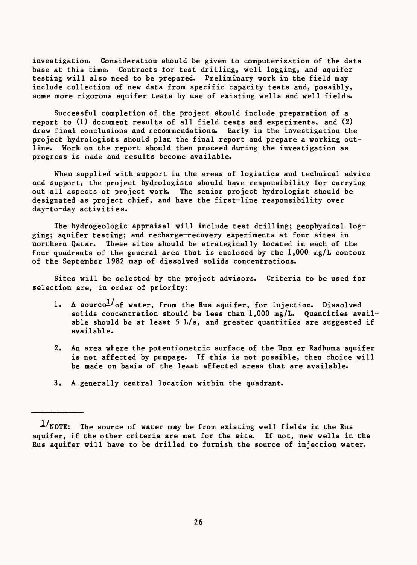investigation. Consideration should be given to computerization of the data base at this time. Contracts for test drilling, well logging, and aquifer testing will also need to be prepared. Preliminary work in the field may include collection of new data from specific capacity tests and, possibly, some more rigorous aquifer tests by use of existing wells and well fields.

Successful completion of the project should include preparation of a report to (1) document results of all field tests and experiments, and (2) draw final conclusions and recommendations. Early in the investigation the project hydrologists should plan the final report and prepare a working outline. Work on the report should then proceed during the investigation as progress is made and results become available.

When supplied with support in the areas of logistics and technical advice and support, the project hydrologists should have responsibility for carrying out all aspects of project work. The senior project hydrologist should be designated as project chief, and have the first-line responsibility over day-to-day activities.

The hydrogeologic appraisal will include test drilling; geophysical logging; aquifer testing; and recharge-recovery experiments at four sites in northern Qatar. These sites should be strategically located in each of the four quadrants of the general area that is enclosed by the 1,000 mg/L contour of the September 1982 map of dissolved solids concentrations.

Sites will be selected by the project advisors. Criteria to be used for selection are, in order of priority:

- 1. A source $^{\frac{1}{c}}$  of water, from the Rus aquifer, for injection. Dissolved solids concentration should be less than 1,000 mg/L. Quantities available should be at least 5  $L/s$ , and greater quantities are suggested if available.
- 2. An area where the potentiometric surface of the Umm er Radhuma aquifer is not affected by pumpage. If this is not possible, then choice will be made on basis of the least affected areas that are available.
- 3. A generally central location within the quadrant.

 $1/\text{NOTE:}$  The source of water may be from existing well fields in the Rus aquifer, if the other criteria are met for the site. If not, new wells in the Rus aquifer will have to be drilled to furnish the source of injection water.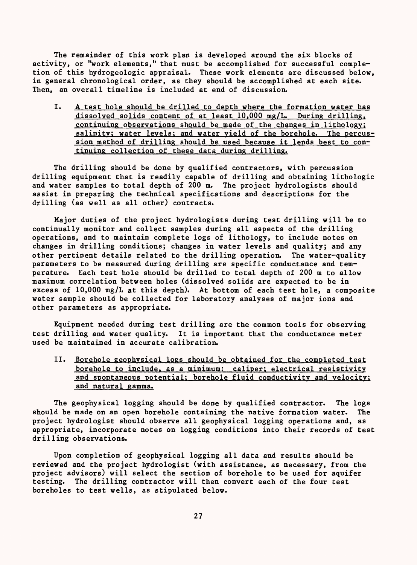The remainder of this work plan is developed around the six blocks of activity, or "work elements," that must be accomplished for successful completion of this hydrogeologic appraisal. These work elements are discussed below, in general chronological order, as they should be accomplished at each site. Then, an overall timeline is included at end of discussion.

I. A test hole should be drilled to depth where the formation water has dissolved solids content of at least 10,000 mg/L. During drilling, continuing observations should be made of the changes in lithology; salinity; water levels; and water yield of the borehole. The percussion method of drilling should be used because it lends best to continuing collection of these data during drilling.

The drilling should be done by qualified contractors, with percussion drilling equipment that is readily capable of drilling and obtaining lithologic and water samples to total depth of 200 m. The project hydrologists should assist in preparing the technical specifications and descriptions for the drilling (as well as all other) contracts.

Major duties of the project hydrologists during test drilling will be to continually monitor and collect samples during all aspects of the drilling operations, and to maintain complete logs of lithology, to include notes on changes in drilling conditions; changes in water levels and quality; and any other pertinent details related to the drilling operation. The water-quality parameters to be measured during drilling are specific conductance and temperature. Each test hole should be drilled to total depth of 200 m to allow maximum correlation between holes (dissolved solids are expected to be in excess of 10,000 mg/L at this depth). At bottom of each test hole, a composite water sample should be collected for laboratory analyses of major ions and other parameters as appropriate.

Equipment needed during test drilling are the common tools for observing test drilling and water quality. It is important that the conductance meter used be maintained in accurate calibration.

II. Borehole geophysical logs should be obtained for the completed test borehole to include, as a minimum: caliper; electrical resistivity and spontaneous potential; borehole fluid conductivity and velocity; and natural gamma.

The geophysical logging should be done by qualified contractor. The logs should be made on an open borehole containing the native formation water. The project hydrologist should observe all geophysical logging operations and, as appropriate, incorporate notes on logging conditions into their records of test drilling observations.

Upon completion of geophysical logging all data and results should be reviewed and the project hydrologist (with assistance, as necessary, from the project advisors) will select the section of borehole to be used for aquifer testing. The drilling contractor will then convert each of the four test boreholes to test wells, as stipulated below.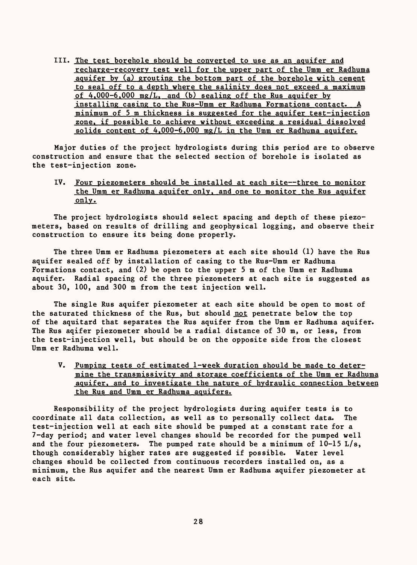III. The test borehole should be converted to use as an aquifer and recharge-recoverv test well for the upper part of the Umm er Radhuma aquifer bv (a) grouting the bottom part of the borehole with cement to seal off to a depth where the salinity does not exceed a maximum of  $4,000-6,000$  mg/L, and (b) sealing off the Rus aquifer by installing casing to the Rus-Umm er Radhuma Formations contact. A minimum of 5 m thickness is suggested for the aquifer test-injection zone, if possible to achieve without exceeding a residual dissolved solids content of  $4,000-6,000$  mg/L in the Umm er Radhuma aquifer.

Major duties of the project hydrologists during this period are to observe construction and ensure that the selected section of borehole is isolated as the test-injection zone.

# IV. Four piezometers should be installed at each site--three to monitor the Umm er Radhuma aquifer only, and one to monitor the Rus aquifer only.

The project hydrologists should select spacing and depth of these piezometers, based on results of drilling and geophysical logging, and observe their construction to ensure its being done properly.

The three Umm er Radhuma piezometers at each site should (1) have the Rus aquifer sealed off by installation of casing to the Rus-Umm er Radhuma Formations contact, and (2) be open to the upper 5 m of the Umm er Radhuma aquifer. Radial spacing of the three piezometers at each site is suggested as about 30, 100, and 300 m from the test injection well.

The single Rus aquifer piezometer at each site should be open to most of the saturated thickness of the Rus, but should not penetrate below the top of the aquitard that separates the Rus aquifer from the Umm er Radhuma aquifer. The Rus aqifer piezometer should be a radial distance of 30 m, or less, from the test-injection well, but should be on the opposite side from the closest Umm er Radhuma well.

V. Pumping tests of estimated 1-week duration should be made to determine the transmissivity and storage coefficients of the Umm er Radhuma aquifer, and to investigate the nature of hydraulic connection between the Rus and Umm er Radhuma aquifers.

Responsibility of the project hydrologists during aquifer tests is to coordinate all data collection, as well as to personally collect data. The test-injection well at each site should be pumped at a constant rate for a 7-day period; and water level changes should be recorded for the pumped well and the four piezometers. The pumped rate should be a minimum of  $10-15$  L/s, though considerably higher rates are suggested if possible. Water level changes should be collected from continuous recorders installed on, as a minimum, the Rus aquifer and the nearest Umm er Radhuma aquifer piezometer at each site.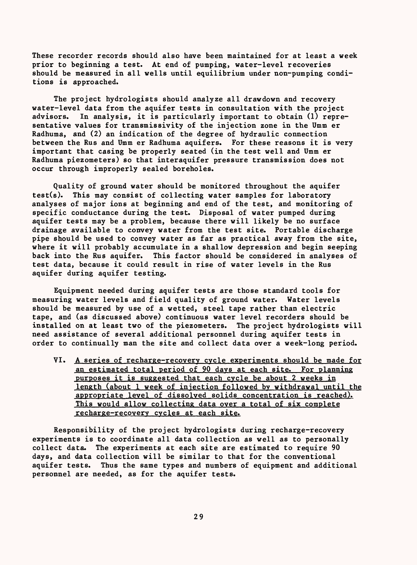These recorder records should also have been maintained for at least a week prior to beginning a test. At end of pumping, water-level recoveries should be measured in all wells until equilibrium under non-pumping conditions is approached.

The project hydrologists should analyze all drawdown and recovery water-level data from the aquifer tests in consultation with the project advisors. In analysis, it is particularly important to obtain (1) representative values for transmissivity of the injection zone in the Umm er Radhuma, and (2) an indication of the degree of hydraulic connection between the Rus and Umm er Radhuma aquifers. For these reasons it is very important that casing be properly seated (in the test well and Umm er Radhuma piezometers) so that interaquifer pressure transmission does not occur through improperly sealed boreholes.

Quality of ground water should be monitored throughout the aquifer test(s). This may consist of collecting water samples for laboratory analyses of major ions at beginning and end of the test, and monitoring of specific conductance during the test. Disposal of water pumped during aquifer tests may be a problem, because there will likely be no surface drainage available to convey water from the test site. Portable discharge pipe should be used to convey water as far as practical away from the site, where it will probably accumulate in a shallow depression and begin seeping back into the Rus aquifer. This factor should be considered in analyses of test data, because it could result in rise of water levels in the Rus aquifer during aquifer testing.

Equipment needed during aquifer tests are those standard tools for measuring water levels and field quality of ground water. Water levels should be measured by use of a wetted, steel tape rather than electric tape, and (as discussed above) continuous water level recorders should be installed on at least two of the piezometers. The project hydrologists will need assistance of several additional personnel during aquifer tests in order to continually man the site and collect data over a week-long period.

VI. A series of recharge-recovery cycle experiments should be made for an estimated total period of 90 days at each site. For planning purposes it is suggested that each cycle be about 2 weeks in length (about 1 week of injection followed by withdrawal until the appropriate level of dissolved solids concentration is reached). This would allow collecting data over a total of six complete recharge-recoverv cycles at each site.

Responsibility of the project hydrologists during recharge-recovery experiments is to coordinate all data collection as well as to personally collect data. The experiments at each site are estimated to require 90 days, and data collection will be similar to that for the conventional aquifer tests. Thus the same types and numbers of equipment and additional personnel are needed, as for the aquifer tests.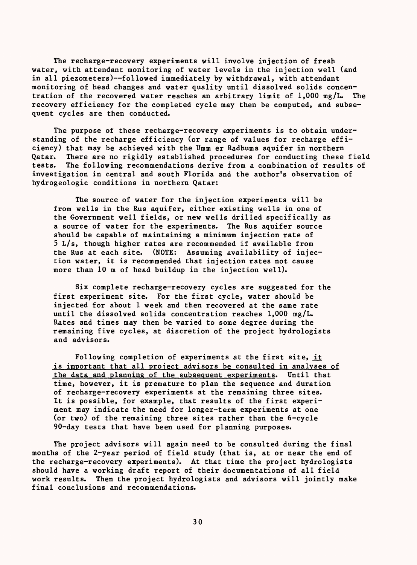The recharge-recovery experiments will involve injection of fresh water, with attendant monitoring of water levels in the injection well (and in all piezometers)--followed immediately by withdrawal, with attendant monitoring of head changes and water quality until dissolved solids concentration of the recovered water reaches an arbitrary limit of 1,000 mg/L. The recovery efficiency for the completed cycle may then be computed, and subsequent cycles are then conducted.

The purpose of these recharge-recovery experiments is to obtain understanding of the recharge efficiency (or range of values for recharge efficiency) that may be achieved with the Umm er Radhuma aquifer in northern Qatar. There are no rigidly established procedures for conducting these field tests. The following recommendations derive from a combination of results of investigation in central and south Florida and the author's observation of hydrogeologic conditions in northern Qatar:

The source of water for the injection experiments will be from wells in the Rus aquifer, either existing wells in one of the Government well fields, or new wells drilled specifically as a source of water for the experiments. The Rus aquifer source should be capable of maintaining a minimum injection rate of 5 L/s, though higher rates are recommended if available from the Rus at each site. (NOTE: Assuming availability of injection water, it is recommended that injection rates not cause more than 10 m of head buildup in the injection well).

Six complete recharge-recovery cycles are suggested for the first experiment site. For the first cycle, water should be injected for about 1 week and then recovered at the same rate until the dissolved solids concentration reaches 1,000 mg/L. Rates and times may then be varied to some degree during the remaining five cycles, at discretion of the project hydrologists and advisors.

Following completion of experiments at the first site, it is important that all project advisors be consulted in analyses of the data and planning of the subsequent experiments. Until that time, however, it is premature to plan the sequence and duration of recharge-recovery experiments at the remaining three sites. It is possible, for example, that results of the first experiment may indicate the need for longer-term experiments at one (or two) of the remaining three sites rather than the 6-cycle 90-day tests that have been used for planning purposes.

The project advisors will again need to be consulted during the final months of the 2-year period of field study (that is, at or near the end of the recharge-recovery experiments). At that time the project hydrologists should have a working draft report of their documentations of all field work results. Then the project hydrologists and advisors will jointly make final conclusions and recommendations.